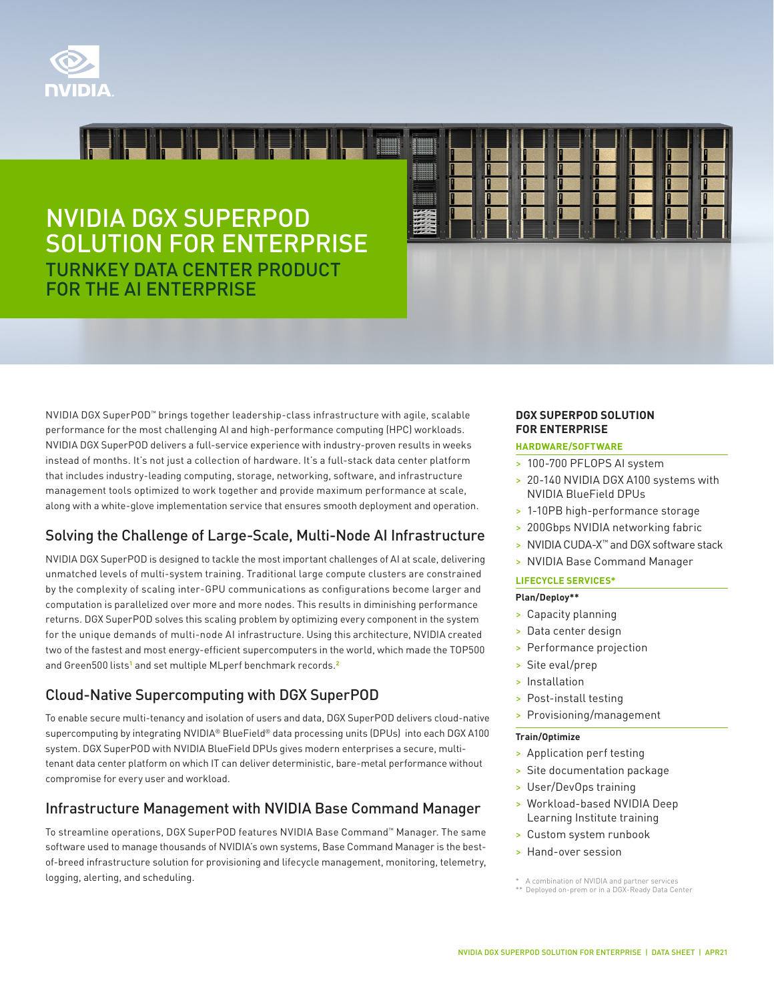

# NVIDIA DGX SUPERPOD SOLUTION FOR ENTERPRISE TURNKEY DATA CENTER PRODUCT FOR THE AI ENTERPRISE

<u> Isaac Isaac Isaac Isaac Isaac Isaac Isaac Isaac Isaac Isaac Isaac Isaac Isaac Isaac Isaac Isaac Isaac Isaac I</u>

NVIDIA DGX SuperPOD™ brings together leadership-class infrastructure with agile, scalable performance for the most challenging AI and high-performance computing (HPC) workloads. NVIDIA DGX SuperPOD delivers a full-service experience with industry-proven results in weeks instead of months. It's not just a collection of hardware. It's a full-stack data center platform that includes industry-leading computing, storage, networking, software, and infrastructure management tools optimized to work together and provide maximum performance at scale, along with a white-glove implementation service that ensures smooth deployment and operation.

# Solving the Challenge of Large-Scale, Multi-Node AI Infrastructure

NVIDIA DGX SuperPOD is designed to tackle the most important challenges of AI at scale, delivering unmatched levels of multi-system training. Traditional large compute clusters are constrained by the complexity of scaling inter-GPU communications as configurations become larger and computation is parallelized over more and more nodes. This results in diminishing performance returns. DGX SuperPOD solves this scaling problem by optimizing every component in the system for the unique demands of multi-node AI infrastructure. Using this architecture, NVIDIA created two of the fastest and most energy-efficient supercomputers in the world, which made the TOP500 and Green500 lists<sup>[1](https://www.top500.org/)</sup> and set multiple MLperf benchmark records.<sup>[2](https://mlperf.org/)</sup>

# Cloud-Native Supercomputing with DGX SuperPOD

To enable secure multi-tenancy and isolation of users and data, DGX SuperPOD delivers cloud-native supercomputing by integrating NVIDIA® BlueField® data processing units (DPUs) into each DGX A100 system. DGX SuperPOD with NVIDIA BlueField DPUs gives modern enterprises a secure, multitenant data center platform on which IT can deliver deterministic, bare-metal performance without compromise for every user and workload.

# Infrastructure Management with NVIDIA Base Command Manager

To streamline operations, DGX SuperPOD features NVIDIA Base Command™ Manager. The same software used to manage thousands of NVIDIA's own systems, Base Command Manager is the bestof-breed infrastructure solution for provisioning and lifecycle management, monitoring, telemetry, logging, alerting, and scheduling.

#### **DGX SUPERPOD SOLUTION FOR ENTERPRISE**

#### **HARDWARE/SOFTWARE**

- > 100-700 PFLOPS AI system
- > 20-140 NVIDIA DGX A100 systems with NVIDIA BlueField DPUs
- > 1-10PB high-performance storage
- > 200Gbps NVIDIA networking fabric
- > NVIDIA CUDA-X™ and DGX software stack
- > NVIDIA Base Command Manager

#### **LIFECYCLE SERVICES\***

#### **Plan/Deploy\*\***

- > Capacity planning
- > Data center design
- > Performance projection
- > Site eval/prep
- > Installation
- > Post-install testing
- > Provisioning/management

#### **Train/Optimize**

- > Application perf testing
- > Site documentation package
- > User/DevOps training
- > Workload-based NVIDIA Deep Learning Institute training
- > Custom system runbook
- > Hand-over session

<sup>\*</sup> A combination of NVIDIA and partner services \*\* Deployed on-prem or in a DGX-Ready Data Center